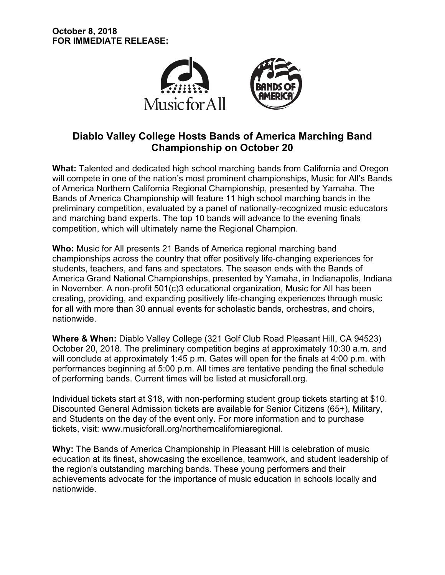

# **Diablo Valley College Hosts Bands of America Marching Band Championship on October 20**

**What:** Talented and dedicated high school marching bands from California and Oregon will compete in one of the nation's most prominent championships, Music for All's Bands of America Northern California Regional Championship, presented by Yamaha. The Bands of America Championship will feature 11 high school marching bands in the preliminary competition, evaluated by a panel of nationally-recognized music educators and marching band experts. The top 10 bands will advance to the evening finals competition, which will ultimately name the Regional Champion.

**Who:** Music for All presents 21 Bands of America regional marching band championships across the country that offer positively life-changing experiences for students, teachers, and fans and spectators. The season ends with the Bands of America Grand National Championships, presented by Yamaha, in Indianapolis, Indiana in November. A non-profit 501(c)3 educational organization, Music for All has been creating, providing, and expanding positively life-changing experiences through music for all with more than 30 annual events for scholastic bands, orchestras, and choirs, nationwide.

**Where & When:** Diablo Valley College (321 Golf Club Road Pleasant Hill, CA 94523) October 20, 2018. The preliminary competition begins at approximately 10:30 a.m. and will conclude at approximately 1:45 p.m. Gates will open for the finals at 4:00 p.m. with performances beginning at 5:00 p.m. All times are tentative pending the final schedule of performing bands. Current times will be listed at musicforall.org.

Individual tickets start at \$18, with non-performing student group tickets starting at \$10. Discounted General Admission tickets are available for Senior Citizens (65+), Military, and Students on the day of the event only. For more information and to purchase tickets, visit: www.musicforall.org/northerncaliforniaregional.

**Why:** The Bands of America Championship in Pleasant Hill is celebration of music education at its finest, showcasing the excellence, teamwork, and student leadership of the region's outstanding marching bands. These young performers and their achievements advocate for the importance of music education in schools locally and nationwide.